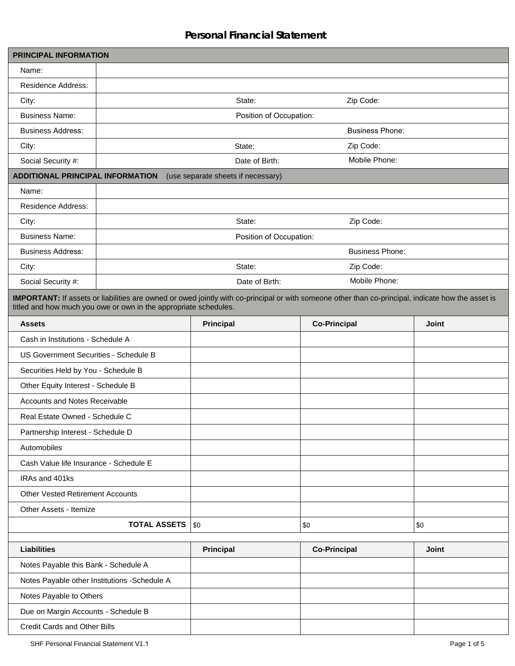## **Personal Financial Statement**

| <b>PRINCIPAL INFORMATION</b>                 |                                                                  |                                    |                                                                                                                                                    |              |
|----------------------------------------------|------------------------------------------------------------------|------------------------------------|----------------------------------------------------------------------------------------------------------------------------------------------------|--------------|
| Name:                                        |                                                                  |                                    |                                                                                                                                                    |              |
| <b>Residence Address:</b>                    |                                                                  |                                    |                                                                                                                                                    |              |
| City:                                        | Zip Code:<br>State:                                              |                                    |                                                                                                                                                    |              |
| <b>Business Name:</b>                        |                                                                  | Position of Occupation:            |                                                                                                                                                    |              |
| <b>Business Address:</b>                     |                                                                  |                                    | <b>Business Phone:</b>                                                                                                                             |              |
| City:                                        |                                                                  | State:                             | Zip Code:                                                                                                                                          |              |
| Social Security #:                           |                                                                  | Date of Birth:                     | Mobile Phone:                                                                                                                                      |              |
| <b>ADDITIONAL PRINCIPAL INFORMATION</b>      |                                                                  | (use separate sheets if necessary) |                                                                                                                                                    |              |
| Name:                                        |                                                                  |                                    |                                                                                                                                                    |              |
| <b>Residence Address:</b>                    |                                                                  |                                    |                                                                                                                                                    |              |
| City:                                        |                                                                  | State:                             | Zip Code:                                                                                                                                          |              |
| <b>Business Name:</b>                        |                                                                  | Position of Occupation:            |                                                                                                                                                    |              |
| <b>Business Address:</b>                     |                                                                  |                                    | <b>Business Phone:</b>                                                                                                                             |              |
| City:                                        |                                                                  | State:                             | Zip Code:                                                                                                                                          |              |
| Social Security #:                           |                                                                  | Date of Birth:                     | Mobile Phone:                                                                                                                                      |              |
|                                              | titled and how much you owe or own in the appropriate schedules. |                                    | IMPORTANT: If assets or liabilities are owned or owed jointly with co-principal or with someone other than co-principal, indicate how the asset is |              |
| <b>Assets</b>                                |                                                                  | Principal                          | <b>Co-Principal</b>                                                                                                                                | <b>Joint</b> |
| Cash in Institutions - Schedule A            |                                                                  |                                    |                                                                                                                                                    |              |
| US Government Securities - Schedule B        |                                                                  |                                    |                                                                                                                                                    |              |
| Securities Held by You - Schedule B          |                                                                  |                                    |                                                                                                                                                    |              |
| Other Equity Interest - Schedule B           |                                                                  |                                    |                                                                                                                                                    |              |
| Accounts and Notes Receivable                |                                                                  |                                    |                                                                                                                                                    |              |
| Real Estate Owned - Schedule C               |                                                                  |                                    |                                                                                                                                                    |              |
| Partnership Interest - Schedule D            |                                                                  |                                    |                                                                                                                                                    |              |
| Automobiles                                  |                                                                  |                                    |                                                                                                                                                    |              |
| Cash Value life Insurance - Schedule E       |                                                                  |                                    |                                                                                                                                                    |              |
| IRAs and 401ks                               |                                                                  |                                    |                                                                                                                                                    |              |
| <b>Other Vested Retirement Accounts</b>      |                                                                  |                                    |                                                                                                                                                    |              |
| Other Assets - Itemize                       |                                                                  |                                    |                                                                                                                                                    |              |
|                                              | <b>TOTAL ASSETS</b>                                              | \$0                                | \$0                                                                                                                                                | \$0          |
|                                              |                                                                  |                                    |                                                                                                                                                    |              |
| <b>Liabilities</b>                           |                                                                  | Principal                          | <b>Co-Principal</b>                                                                                                                                | Joint        |
| Notes Payable this Bank - Schedule A         |                                                                  |                                    |                                                                                                                                                    |              |
| Notes Payable other Institutions -Schedule A |                                                                  |                                    |                                                                                                                                                    |              |
| Notes Payable to Others                      |                                                                  |                                    |                                                                                                                                                    |              |
| Due on Margin Accounts - Schedule B          |                                                                  |                                    |                                                                                                                                                    |              |
| Credit Cards and Other Bills                 |                                                                  |                                    |                                                                                                                                                    |              |
|                                              | SHF Personal Financial Statement V1.1<br>Page 1 of 5             |                                    |                                                                                                                                                    |              |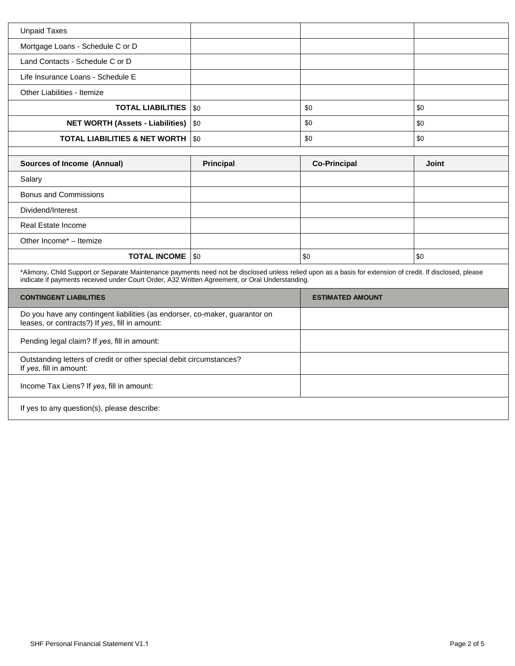| Unpaid Taxes                                   |     |     |
|------------------------------------------------|-----|-----|
| Mortgage Loans - Schedule C or D               |     |     |
| Land Contacts - Schedule C or D                |     |     |
| Life Insurance Loans - Schedule E              |     |     |
| Other Liabilities - Itemize                    |     |     |
| <b>TOTAL LIABILITIES</b>   \$0                 | \$0 | \$0 |
| <b>NET WORTH (Assets - Liabilities)   \$0</b>  | \$0 | \$0 |
| <b>TOTAL LIABILITIES &amp; NET WORTH   \$0</b> | \$0 | \$0 |

| <b>Sources of Income (Annual)</b> | <b>Principal</b> | <b>Co-Principal</b> | <b>Joint</b> |
|-----------------------------------|------------------|---------------------|--------------|
| Salary                            |                  |                     |              |
| <b>Bonus and Commissions</b>      |                  |                     |              |
| Dividend/Interest                 |                  |                     |              |
| Real Estate Income                |                  |                     |              |
| Other Income* - Itemize           |                  |                     |              |
| <b>TOTAL INCOME</b>   \$0         |                  | <b>SO</b>           | <b>\$0</b>   |

\*Alimony, Child Support or Separate Maintenance payments need not be disclosed unless relied upon as a basis for extension of credit. If disclosed, please indicate if payments received under Court Order, A32 Written Agreement, or Oral Understanding.

| <b>CONTINGENT LIABILITIES</b>                                                                                                 | <b>ESTIMATED AMOUNT</b> |
|-------------------------------------------------------------------------------------------------------------------------------|-------------------------|
| Do you have any contingent liabilities (as endorser, co-maker, guarantor on<br>leases, or contracts?) If yes, fill in amount: |                         |
| Pending legal claim? If yes, fill in amount:                                                                                  |                         |
| Outstanding letters of credit or other special debit circumstances?<br>If yes, fill in amount:                                |                         |
| Income Tax Liens? If yes, fill in amount:                                                                                     |                         |
| If yes to any question(s), please describe:                                                                                   |                         |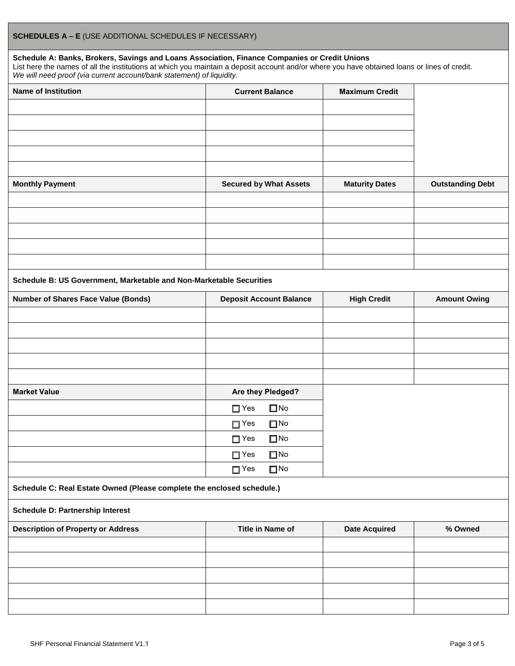## **Schedule A: Banks, Brokers, Savings and Loans Association, Finance Companies or Credit Unions**

List here the names of all the institutions at which you maintain a deposit account and/or where you have obtained loans or lines of credit. *We will need proof (via current account/bank statement) of liquidity.*

| <b>Name of Institution</b>                                             | <b>Current Balance</b>         | <b>Maximum Credit</b> |                         |  |
|------------------------------------------------------------------------|--------------------------------|-----------------------|-------------------------|--|
|                                                                        |                                |                       |                         |  |
|                                                                        |                                |                       |                         |  |
|                                                                        |                                |                       |                         |  |
|                                                                        |                                |                       |                         |  |
|                                                                        |                                |                       |                         |  |
| <b>Monthly Payment</b>                                                 | <b>Secured by What Assets</b>  | <b>Maturity Dates</b> | <b>Outstanding Debt</b> |  |
|                                                                        |                                |                       |                         |  |
|                                                                        |                                |                       |                         |  |
|                                                                        |                                |                       |                         |  |
|                                                                        |                                |                       |                         |  |
|                                                                        |                                |                       |                         |  |
| Schedule B: US Government, Marketable and Non-Marketable Securities    |                                |                       |                         |  |
| <b>Number of Shares Face Value (Bonds)</b>                             | <b>Deposit Account Balance</b> | <b>High Credit</b>    | <b>Amount Owing</b>     |  |
|                                                                        |                                |                       |                         |  |
|                                                                        |                                |                       |                         |  |
|                                                                        |                                |                       |                         |  |
|                                                                        |                                |                       |                         |  |
|                                                                        |                                |                       |                         |  |
| <b>Market Value</b>                                                    | Are they Pledged?              |                       |                         |  |
|                                                                        | $\square$ No<br>$\square$ Yes  |                       |                         |  |
|                                                                        | $\Box$ Yes<br>$\square$ No     |                       |                         |  |
|                                                                        | $\square$ No<br>$\square$ Yes  |                       |                         |  |
|                                                                        | $\square$ No<br>$\square$ Yes  |                       |                         |  |
|                                                                        | $\Box$ Yes<br>$\square$ No     |                       |                         |  |
| Schedule C: Real Estate Owned (Please complete the enclosed schedule.) |                                |                       |                         |  |
| <b>Schedule D: Partnership Interest</b>                                |                                |                       |                         |  |
| <b>Description of Property or Address</b>                              | Title in Name of               | <b>Date Acquired</b>  | % Owned                 |  |
|                                                                        |                                |                       |                         |  |
|                                                                        |                                |                       |                         |  |
|                                                                        |                                |                       |                         |  |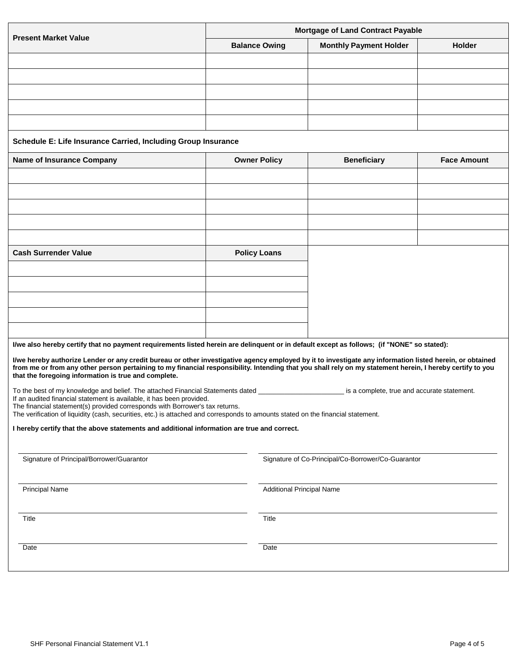|                                                                                                                                                                                                                                                                                                                       | <b>Mortgage of Land Contract Payable</b> |                               |                    |  |
|-----------------------------------------------------------------------------------------------------------------------------------------------------------------------------------------------------------------------------------------------------------------------------------------------------------------------|------------------------------------------|-------------------------------|--------------------|--|
| <b>Present Market Value</b>                                                                                                                                                                                                                                                                                           | <b>Balance Owing</b>                     | <b>Monthly Payment Holder</b> | <b>Holder</b>      |  |
|                                                                                                                                                                                                                                                                                                                       |                                          |                               |                    |  |
|                                                                                                                                                                                                                                                                                                                       |                                          |                               |                    |  |
|                                                                                                                                                                                                                                                                                                                       |                                          |                               |                    |  |
|                                                                                                                                                                                                                                                                                                                       |                                          |                               |                    |  |
| Schedule E: Life Insurance Carried, Including Group Insurance                                                                                                                                                                                                                                                         |                                          |                               |                    |  |
| <b>Name of Insurance Company</b>                                                                                                                                                                                                                                                                                      | <b>Owner Policy</b>                      | <b>Beneficiary</b>            | <b>Face Amount</b> |  |
|                                                                                                                                                                                                                                                                                                                       |                                          |                               |                    |  |
|                                                                                                                                                                                                                                                                                                                       |                                          |                               |                    |  |
|                                                                                                                                                                                                                                                                                                                       |                                          |                               |                    |  |
|                                                                                                                                                                                                                                                                                                                       |                                          |                               |                    |  |
| <b>Cash Surrender Value</b>                                                                                                                                                                                                                                                                                           | <b>Policy Loans</b>                      |                               |                    |  |
|                                                                                                                                                                                                                                                                                                                       |                                          |                               |                    |  |
|                                                                                                                                                                                                                                                                                                                       |                                          |                               |                    |  |
|                                                                                                                                                                                                                                                                                                                       |                                          |                               |                    |  |
|                                                                                                                                                                                                                                                                                                                       |                                          |                               |                    |  |
|                                                                                                                                                                                                                                                                                                                       |                                          |                               |                    |  |
| I/we also hereby certify that no payment requirements listed herein are delinquent or in default except as follows; (if "NONE" so stated):                                                                                                                                                                            |                                          |                               |                    |  |
| I/we hereby authorize Lender or any credit bureau or other investigative agency employed by it to investigate any information listed herein, or obtained<br>from me or from any other person pertaining to my financial responsibility. Intending that you shall rely on my statement herein, I hereby certify to you |                                          |                               |                    |  |

To the best of my knowledge and belief. The attached Financial Statements dated \_\_\_\_\_\_\_\_\_\_\_\_\_\_\_\_\_\_\_\_\_\_\_ is a complete, true and accurate statement. If an audited financial statement is available, it has been provided.

The financial statement(s) provided corresponds with Borrower's tax returns.

The verification of liquidity (cash, securities, etc.) is attached and corresponds to amounts stated on the financial statement.

**I hereby certify that the above statements and additional information are true and correct.**

| Signature of Principal/Borrower/Guarantor | Signature of Co-Principal/Co-Borrower/Co-Guarantor |
|-------------------------------------------|----------------------------------------------------|
| <b>Principal Name</b>                     | <b>Additional Principal Name</b>                   |
| Title                                     | Title                                              |
| Date                                      | Date                                               |
|                                           |                                                    |